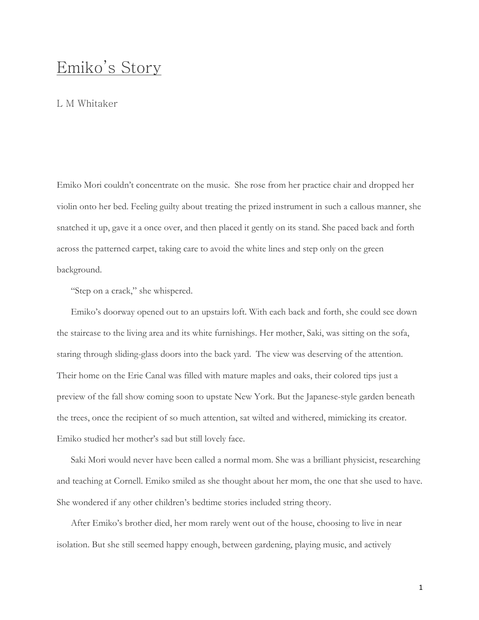# Emiko's Story

# L M Whitaker

Emiko Mori couldn't concentrate on the music. She rose from her practice chair and dropped her violin onto her bed. Feeling guilty about treating the prized instrument in such a callous manner, she snatched it up, gave it a once over, and then placed it gently on its stand. She paced back and forth across the patterned carpet, taking care to avoid the white lines and step only on the green background.

"Step on a crack," she whispered.

Emiko's doorway opened out to an upstairs loft. With each back and forth, she could see down the staircase to the living area and its white furnishings. Her mother, Saki, was sitting on the sofa, staring through sliding-glass doors into the back yard. The view was deserving of the attention. Their home on the Erie Canal was filled with mature maples and oaks, their colored tips just a preview of the fall show coming soon to upstate New York. But the Japanese-style garden beneath the trees, once the recipient of so much attention, sat wilted and withered, mimicking its creator. Emiko studied her mother's sad but still lovely face.

Saki Mori would never have been called a normal mom. She was a brilliant physicist, researching and teaching at Cornell. Emiko smiled as she thought about her mom, the one that she used to have. She wondered if any other children's bedtime stories included string theory.

After Emiko's brother died, her mom rarely went out of the house, choosing to live in near isolation. But she still seemed happy enough, between gardening, playing music, and actively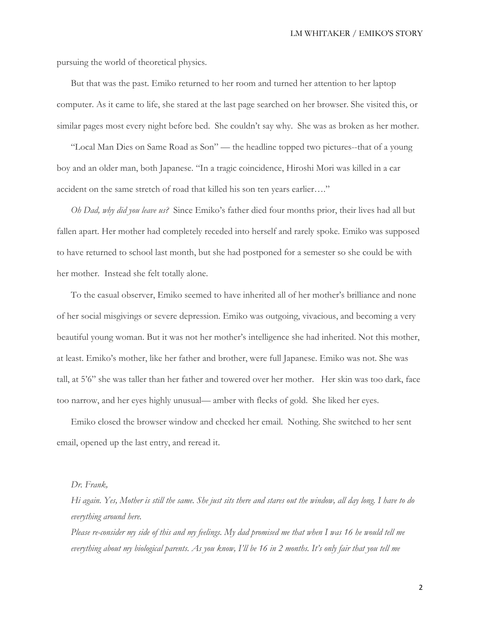pursuing the world of theoretical physics.

But that was the past. Emiko returned to her room and turned her attention to her laptop computer. As it came to life, she stared at the last page searched on her browser. She visited this, or similar pages most every night before bed. She couldn't say why. She was as broken as her mother.

"Local Man Dies on Same Road as Son" — the headline topped two pictures--that of a young boy and an older man, both Japanese. "In a tragic coincidence, Hiroshi Mori was killed in a car accident on the same stretch of road that killed his son ten years earlier…."

*Oh Dad, why did you leave us?* Since Emiko's father died four months prior, their lives had all but fallen apart. Her mother had completely receded into herself and rarely spoke. Emiko was supposed to have returned to school last month, but she had postponed for a semester so she could be with her mother. Instead she felt totally alone.

To the casual observer, Emiko seemed to have inherited all of her mother's brilliance and none of her social misgivings or severe depression. Emiko was outgoing, vivacious, and becoming a very beautiful young woman. But it was not her mother's intelligence she had inherited. Not this mother, at least. Emiko's mother, like her father and brother, were full Japanese. Emiko was not. She was tall, at 5'6" she was taller than her father and towered over her mother. Her skin was too dark, face too narrow, and her eyes highly unusual— amber with flecks of gold. She liked her eyes.

Emiko closed the browser window and checked her email. Nothing. She switched to her sent email, opened up the last entry, and reread it.

#### *Dr. Frank,*

*Hi again. Yes, Mother is still the same. She just sits there and stares out the window, all day long. I have to do everything around here.* 

*Please re-consider my side of this and my feelings. My dad promised me that when I was 16 he would tell me everything about my biological parents. As you know, I'll be 16 in 2 months. It's only fair that you tell me*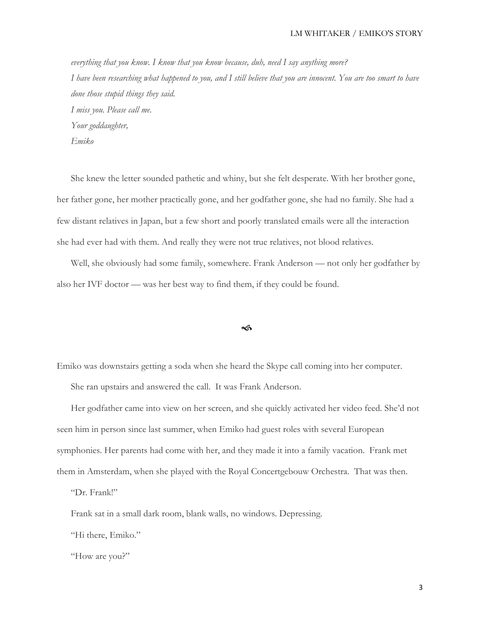*everything that you know. I know that you know because, duh, need I say anything more? I have been researching what happened to you, and I still believe that you are innocent. You are too smart to have done those stupid things they said. I miss you. Please call me. Your goddaughter, Emiko*

She knew the letter sounded pathetic and whiny, but she felt desperate. With her brother gone, her father gone, her mother practically gone, and her godfather gone, she had no family. She had a few distant relatives in Japan, but a few short and poorly translated emails were all the interaction she had ever had with them. And really they were not true relatives, not blood relatives.

Well, she obviously had some family, somewhere. Frank Anderson — not only her godfather by also her IVF doctor — was her best way to find them, if they could be found.

## $\rightsquigarrow$

Emiko was downstairs getting a soda when she heard the Skype call coming into her computer.

She ran upstairs and answered the call. It was Frank Anderson.

Her godfather came into view on her screen, and she quickly activated her video feed. She'd not seen him in person since last summer, when Emiko had guest roles with several European symphonies. Her parents had come with her, and they made it into a family vacation. Frank met them in Amsterdam, when she played with the Royal Concertgebouw Orchestra. That was then.

"Dr. Frank!"

Frank sat in a small dark room, blank walls, no windows. Depressing.

"Hi there, Emiko."

"How are you?"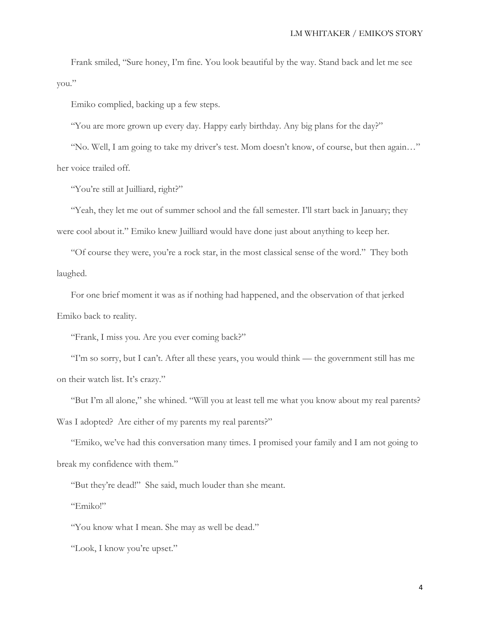Frank smiled, "Sure honey, I'm fine. You look beautiful by the way. Stand back and let me see you."

Emiko complied, backing up a few steps.

"You are more grown up every day. Happy early birthday. Any big plans for the day?"

"No. Well, I am going to take my driver's test. Mom doesn't know, of course, but then again…" her voice trailed off.

"You're still at Juilliard, right?"

"Yeah, they let me out of summer school and the fall semester. I'll start back in January; they were cool about it." Emiko knew Juilliard would have done just about anything to keep her.

"Of course they were, you're a rock star, in the most classical sense of the word." They both laughed.

For one brief moment it was as if nothing had happened, and the observation of that jerked Emiko back to reality.

"Frank, I miss you. Are you ever coming back?"

"I'm so sorry, but I can't. After all these years, you would think — the government still has me on their watch list. It's crazy."

"But I'm all alone," she whined. "Will you at least tell me what you know about my real parents? Was I adopted? Are either of my parents my real parents?"

"Emiko, we've had this conversation many times. I promised your family and I am not going to break my confidence with them."

"But they're dead!" She said, much louder than she meant.

"Emiko!"

"You know what I mean. She may as well be dead."

"Look, I know you're upset."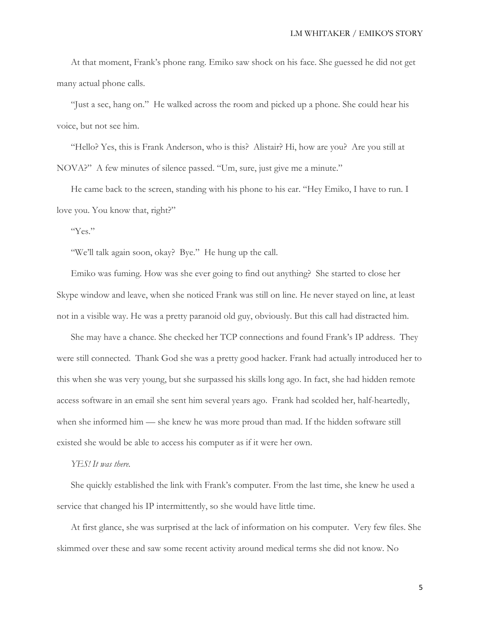At that moment, Frank's phone rang. Emiko saw shock on his face. She guessed he did not get many actual phone calls.

"Just a sec, hang on." He walked across the room and picked up a phone. She could hear his voice, but not see him.

"Hello? Yes, this is Frank Anderson, who is this? Alistair? Hi, how are you? Are you still at NOVA?" A few minutes of silence passed. "Um, sure, just give me a minute."

He came back to the screen, standing with his phone to his ear. "Hey Emiko, I have to run. I love you. You know that, right?"

"Yes."

"We'll talk again soon, okay? Bye." He hung up the call.

Emiko was fuming. How was she ever going to find out anything? She started to close her Skype window and leave, when she noticed Frank was still on line. He never stayed on line, at least not in a visible way. He was a pretty paranoid old guy, obviously. But this call had distracted him.

She may have a chance. She checked her TCP connections and found Frank's IP address. They were still connected. Thank God she was a pretty good hacker. Frank had actually introduced her to this when she was very young, but she surpassed his skills long ago. In fact, she had hidden remote access software in an email she sent him several years ago. Frank had scolded her, half-heartedly, when she informed him — she knew he was more proud than mad. If the hidden software still existed she would be able to access his computer as if it were her own.

## *YES! It was there.*

She quickly established the link with Frank's computer. From the last time, she knew he used a service that changed his IP intermittently, so she would have little time.

At first glance, she was surprised at the lack of information on his computer. Very few files. She skimmed over these and saw some recent activity around medical terms she did not know. No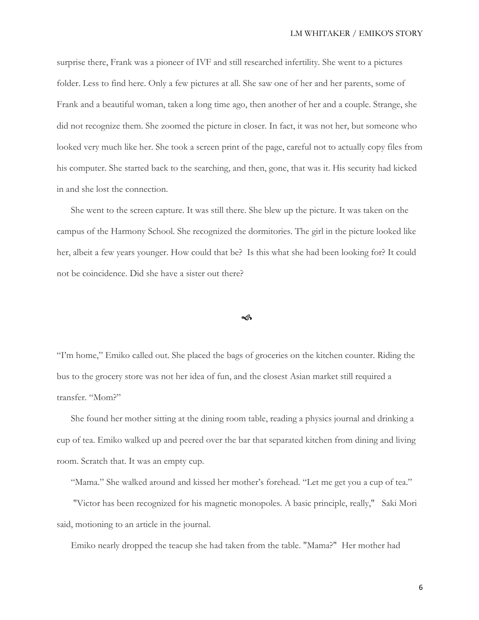surprise there, Frank was a pioneer of IVF and still researched infertility. She went to a pictures folder. Less to find here. Only a few pictures at all. She saw one of her and her parents, some of Frank and a beautiful woman, taken a long time ago, then another of her and a couple. Strange, she did not recognize them. She zoomed the picture in closer. In fact, it was not her, but someone who looked very much like her. She took a screen print of the page, careful not to actually copy files from his computer. She started back to the searching, and then, gone, that was it. His security had kicked in and she lost the connection.

She went to the screen capture. It was still there. She blew up the picture. It was taken on the campus of the Harmony School. She recognized the dormitories. The girl in the picture looked like her, albeit a few years younger. How could that be? Is this what she had been looking for? It could not be coincidence. Did she have a sister out there?

#### $\rightsquigarrow$

"I'm home," Emiko called out. She placed the bags of groceries on the kitchen counter. Riding the bus to the grocery store was not her idea of fun, and the closest Asian market still required a transfer. "Mom?"

She found her mother sitting at the dining room table, reading a physics journal and drinking a cup of tea. Emiko walked up and peered over the bar that separated kitchen from dining and living room. Scratch that. It was an empty cup.

"Mama." She walked around and kissed her mother's forehead. "Let me get you a cup of tea."

"Victor has been recognized for his magnetic monopoles. A basic principle, really," Saki Mori said, motioning to an article in the journal.

Emiko nearly dropped the teacup she had taken from the table. "Mama?" Her mother had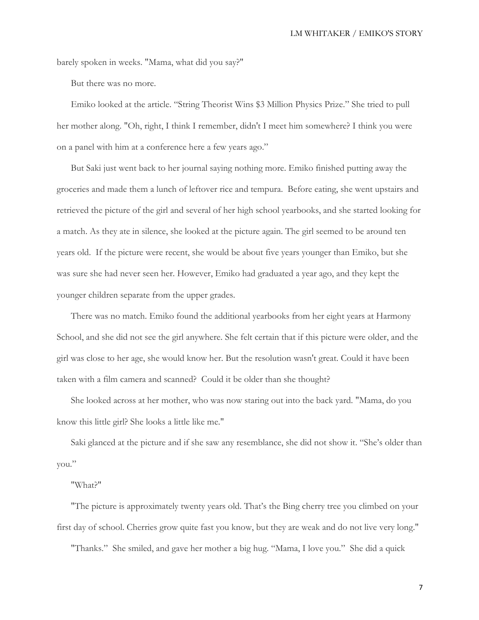barely spoken in weeks. "Mama, what did you say?"

But there was no more.

Emiko looked at the article. "String Theorist Wins \$3 Million Physics Prize." She tried to pull her mother along. "Oh, right, I think I remember, didn't I meet him somewhere? I think you were on a panel with him at a conference here a few years ago."

But Saki just went back to her journal saying nothing more. Emiko finished putting away the groceries and made them a lunch of leftover rice and tempura. Before eating, she went upstairs and retrieved the picture of the girl and several of her high school yearbooks, and she started looking for a match. As they ate in silence, she looked at the picture again. The girl seemed to be around ten years old. If the picture were recent, she would be about five years younger than Emiko, but she was sure she had never seen her. However, Emiko had graduated a year ago, and they kept the younger children separate from the upper grades.

There was no match. Emiko found the additional yearbooks from her eight years at Harmony School, and she did not see the girl anywhere. She felt certain that if this picture were older, and the girl was close to her age, she would know her. But the resolution wasn't great. Could it have been taken with a film camera and scanned? Could it be older than she thought?

She looked across at her mother, who was now staring out into the back yard. "Mama, do you know this little girl? She looks a little like me."

Saki glanced at the picture and if she saw any resemblance, she did not show it. "She's older than you."

## "What?"

"The picture is approximately twenty years old. That's the Bing cherry tree you climbed on your first day of school. Cherries grow quite fast you know, but they are weak and do not live very long."

"Thanks." She smiled, and gave her mother a big hug. "Mama, I love you." She did a quick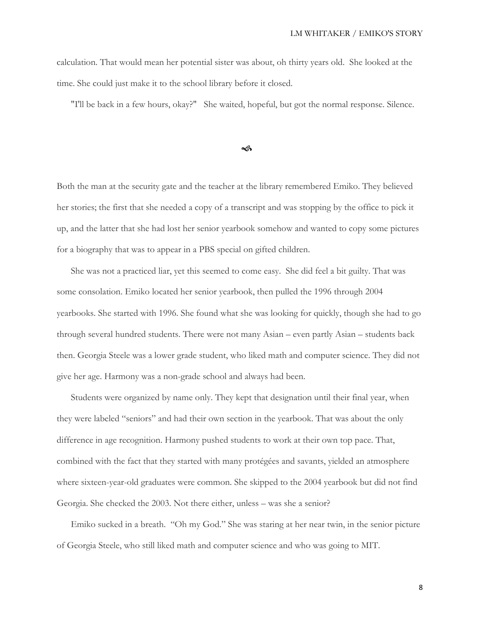calculation. That would mean her potential sister was about, oh thirty years old. She looked at the time. She could just make it to the school library before it closed.

"I'll be back in a few hours, okay?" She waited, hopeful, but got the normal response. Silence.

ี∕ดิ

Both the man at the security gate and the teacher at the library remembered Emiko. They believed her stories; the first that she needed a copy of a transcript and was stopping by the office to pick it up, and the latter that she had lost her senior yearbook somehow and wanted to copy some pictures for a biography that was to appear in a PBS special on gifted children.

She was not a practiced liar, yet this seemed to come easy. She did feel a bit guilty. That was some consolation. Emiko located her senior yearbook, then pulled the 1996 through 2004 yearbooks. She started with 1996. She found what she was looking for quickly, though she had to go through several hundred students. There were not many Asian – even partly Asian – students back then. Georgia Steele was a lower grade student, who liked math and computer science. They did not give her age. Harmony was a non-grade school and always had been.

Students were organized by name only. They kept that designation until their final year, when they were labeled "seniors" and had their own section in the yearbook. That was about the only difference in age recognition. Harmony pushed students to work at their own top pace. That, combined with the fact that they started with many protégées and savants, yielded an atmosphere where sixteen-year-old graduates were common. She skipped to the 2004 yearbook but did not find Georgia. She checked the 2003. Not there either, unless – was she a senior?

Emiko sucked in a breath. "Oh my God." She was staring at her near twin, in the senior picture of Georgia Steele, who still liked math and computer science and who was going to MIT.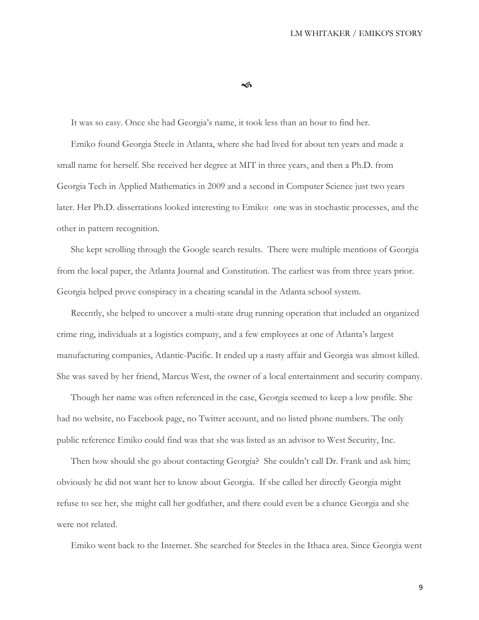#### $\rightsquigarrow$

It was so easy. Once she had Georgia's name, it took less than an hour to find her. Emiko found Georgia Steele in Atlanta, where she had lived for about ten years and made a small name for herself. She received her degree at MIT in three years, and then a Ph.D. from Georgia Tech in Applied Mathematics in 2009 and a second in Computer Science just two years later. Her Ph.D. dissertations looked interesting to Emiko: one was in stochastic processes, and the other in pattern recognition.

She kept scrolling through the Google search results. There were multiple mentions of Georgia from the local paper, the Atlanta Journal and Constitution. The earliest was from three years prior. Georgia helped prove conspiracy in a cheating scandal in the Atlanta school system.

Recently, she helped to uncover a multi-state drug running operation that included an organized crime ring, individuals at a logistics company, and a few employees at one of Atlanta's largest manufacturing companies, Atlantic-Pacific. It ended up a nasty affair and Georgia was almost killed. She was saved by her friend, Marcus West, the owner of a local entertainment and security company.

Though her name was often referenced in the case, Georgia seemed to keep a low profile. She had no website, no Facebook page, no Twitter account, and no listed phone numbers. The only public reference Emiko could find was that she was listed as an advisor to West Security, Inc.

Then how should she go about contacting Georgia? She couldn't call Dr. Frank and ask him; obviously he did not want her to know about Georgia. If she called her directly Georgia might refuse to see her, she might call her godfather, and there could even be a chance Georgia and she were not related.

Emiko went back to the Internet. She searched for Steeles in the Ithaca area. Since Georgia went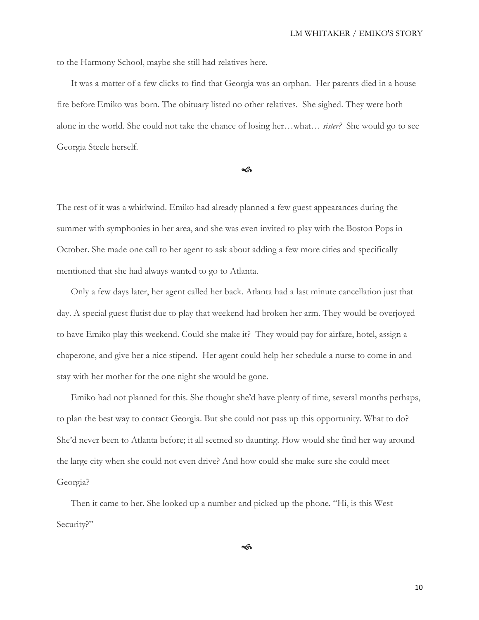to the Harmony School, maybe she still had relatives here.

It was a matter of a few clicks to find that Georgia was an orphan. Her parents died in a house fire before Emiko was born. The obituary listed no other relatives. She sighed. They were both alone in the world. She could not take the chance of losing her…what… *sister?* She would go to see Georgia Steele herself.

 $\sim$ 

The rest of it was a whirlwind. Emiko had already planned a few guest appearances during the summer with symphonies in her area, and she was even invited to play with the Boston Pops in October. She made one call to her agent to ask about adding a few more cities and specifically mentioned that she had always wanted to go to Atlanta.

Only a few days later, her agent called her back. Atlanta had a last minute cancellation just that day. A special guest flutist due to play that weekend had broken her arm. They would be overjoyed to have Emiko play this weekend. Could she make it? They would pay for airfare, hotel, assign a chaperone, and give her a nice stipend. Her agent could help her schedule a nurse to come in and stay with her mother for the one night she would be gone.

Emiko had not planned for this. She thought she'd have plenty of time, several months perhaps, to plan the best way to contact Georgia. But she could not pass up this opportunity. What to do? She'd never been to Atlanta before; it all seemed so daunting. How would she find her way around the large city when she could not even drive? And how could she make sure she could meet Georgia?

Then it came to her. She looked up a number and picked up the phone. "Hi, is this West Security?"

<ดิ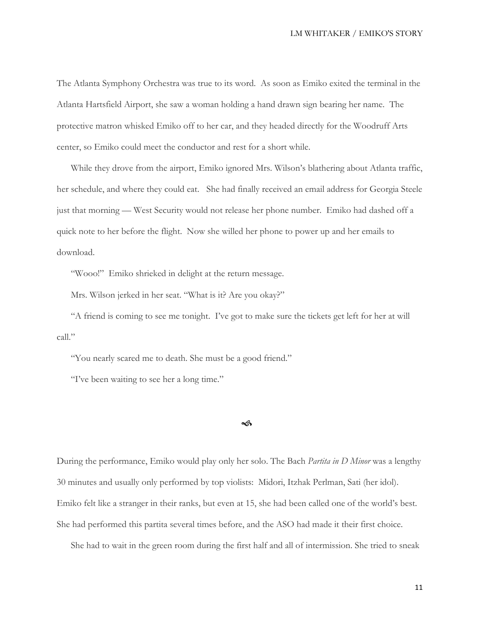The Atlanta Symphony Orchestra was true to its word. As soon as Emiko exited the terminal in the Atlanta Hartsfield Airport, she saw a woman holding a hand drawn sign bearing her name. The protective matron whisked Emiko off to her car, and they headed directly for the Woodruff Arts center, so Emiko could meet the conductor and rest for a short while.

While they drove from the airport, Emiko ignored Mrs. Wilson's blathering about Atlanta traffic, her schedule, and where they could eat. She had finally received an email address for Georgia Steele just that morning — West Security would not release her phone number. Emiko had dashed off a quick note to her before the flight. Now she willed her phone to power up and her emails to download.

"Wooo!" Emiko shrieked in delight at the return message.

Mrs. Wilson jerked in her seat. "What is it? Are you okay?"

"A friend is coming to see me tonight. I've got to make sure the tickets get left for her at will call."

"You nearly scared me to death. She must be a good friend."

"I've been waiting to see her a long time."

ี∕ดิ

During the performance, Emiko would play only her solo. The Bach *Partita in D Minor* was a lengthy 30 minutes and usually only performed by top violists: Midori, Itzhak Perlman, Sati (her idol). Emiko felt like a stranger in their ranks, but even at 15, she had been called one of the world's best. She had performed this partita several times before, and the ASO had made it their first choice.

She had to wait in the green room during the first half and all of intermission. She tried to sneak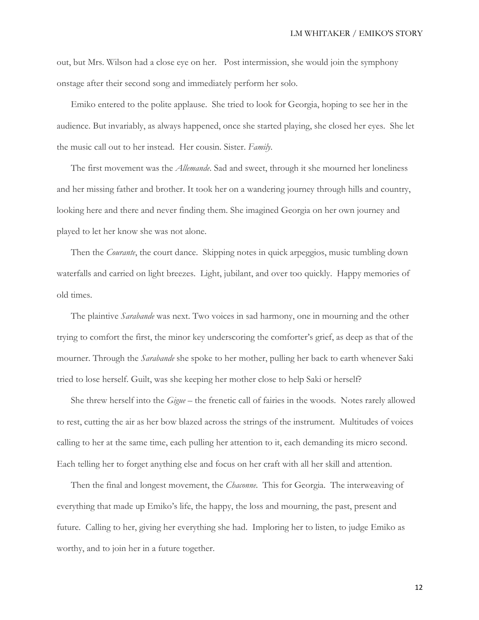out, but Mrs. Wilson had a close eye on her. Post intermission, she would join the symphony onstage after their second song and immediately perform her solo.

Emiko entered to the polite applause. She tried to look for Georgia, hoping to see her in the audience. But invariably, as always happened, once she started playing, she closed her eyes. She let the music call out to her instead. Her cousin. Sister. *Family*.

The first movement was the *Allemande*. Sad and sweet, through it she mourned her loneliness and her missing father and brother. It took her on a wandering journey through hills and country, looking here and there and never finding them. She imagined Georgia on her own journey and played to let her know she was not alone.

Then the *Courante*, the court dance. Skipping notes in quick arpeggios, music tumbling down waterfalls and carried on light breezes. Light, jubilant, and over too quickly. Happy memories of old times.

The plaintive *Sarabande* was next. Two voices in sad harmony, one in mourning and the other trying to comfort the first, the minor key underscoring the comforter's grief, as deep as that of the mourner. Through the *Sarabande* she spoke to her mother, pulling her back to earth whenever Saki tried to lose herself. Guilt, was she keeping her mother close to help Saki or herself?

She threw herself into the *Gigue* – the frenetic call of fairies in the woods. Notes rarely allowed to rest, cutting the air as her bow blazed across the strings of the instrument. Multitudes of voices calling to her at the same time, each pulling her attention to it, each demanding its micro second. Each telling her to forget anything else and focus on her craft with all her skill and attention.

Then the final and longest movement, the *Chaconne*. This for Georgia. The interweaving of everything that made up Emiko's life, the happy, the loss and mourning, the past, present and future. Calling to her, giving her everything she had. Imploring her to listen, to judge Emiko as worthy, and to join her in a future together.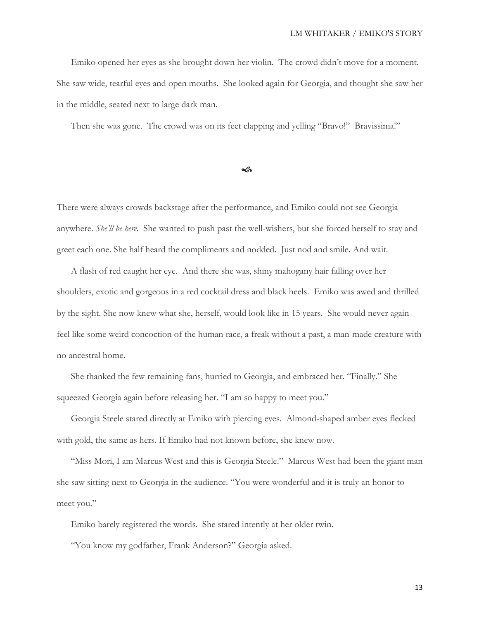Emiko opened her eyes as she brought down her violin. The crowd didn't move for a moment. She saw wide, tearful eyes and open mouths. She looked again for Georgia, and thought she saw her in the middle, seated next to large dark man.

Then she was gone. The crowd was on its feet clapping and yelling "Bravo!" Bravissima!"

 $\sim$ 

There were always crowds backstage after the performance, and Emiko could not see Georgia anywhere. *She'll be here.* She wanted to push past the well-wishers, but she forced herself to stay and greet each one. She half heard the compliments and nodded. Just nod and smile. And wait.

A flash of red caught her eye. And there she was, shiny mahogany hair falling over her shoulders, exotic and gorgeous in a red cocktail dress and black heels. Emiko was awed and thrilled by the sight. She now knew what she, herself, would look like in 15 years. She would never again feel like some weird concoction of the human race, a freak without a past, a man-made creature with no ancestral home.

She thanked the few remaining fans, hurried to Georgia, and embraced her. "Finally." She squeezed Georgia again before releasing her. "I am so happy to meet you."

Georgia Steele stared directly at Emiko with piercing eyes. Almond-shaped amber eyes flecked with gold, the same as hers. If Emiko had not known before, she knew now.

"Miss Mori, I am Marcus West and this is Georgia Steele." Marcus West had been the giant man she saw sitting next to Georgia in the audience. "You were wonderful and it is truly an honor to meet you."

Emiko barely registered the words. She stared intently at her older twin.

"You know my godfather, Frank Anderson?" Georgia asked.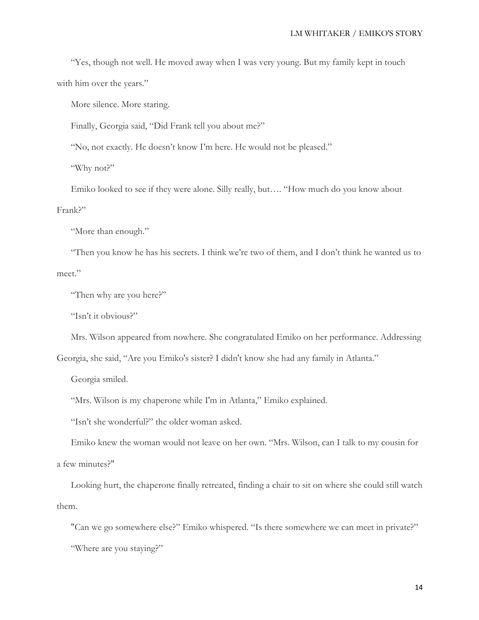"Yes, though not well. He moved away when I was very young. But my family kept in touch with him over the years."

More silence. More staring.

Finally, Georgia said, "Did Frank tell you about me?"

"No, not exactly. He doesn't know I'm here. He would not be pleased."

"Why not?"

Emiko looked to see if they were alone. Silly really, but…. "How much do you know about Frank?"

"More than enough."

"Then you know he has his secrets. I think we're two of them, and I don't think he wanted us to meet."

"Then why are you here?"

"Isn't it obvious?"

Mrs. Wilson appeared from nowhere. She congratulated Emiko on her performance. Addressing

Georgia, she said, "Are you Emiko's sister? I didn't know she had any family in Atlanta."

Georgia smiled.

"Mrs. Wilson is my chaperone while I'm in Atlanta," Emiko explained.

"Isn't she wonderful?" the older woman asked.

Emiko knew the woman would not leave on her own. "Mrs. Wilson, can I talk to my cousin for a few minutes?"

Looking hurt, the chaperone finally retreated, finding a chair to sit on where she could still watch them.

"Can we go somewhere else?" Emiko whispered. "Is there somewhere we can meet in private?" "Where are you staying?"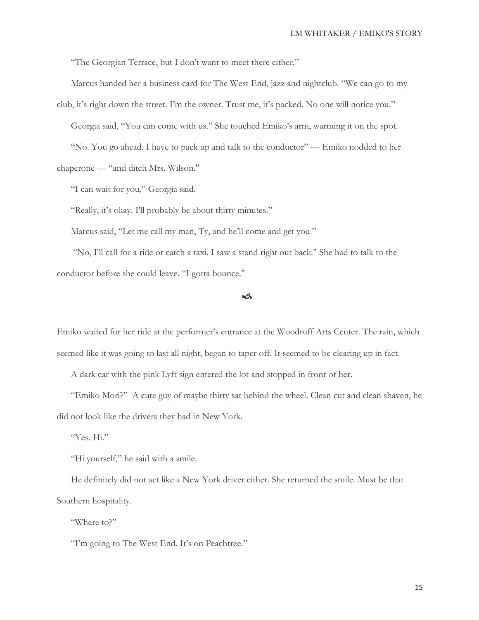"The Georgian Terrace, but I don't want to meet there either."

Marcus handed her a business card for The West End, jazz and nightclub. "We can go to my

club, it's right down the street. I'm the owner. Trust me, it's packed. No one will notice you." Georgia said, "You can come with us." She touched Emiko's arm, warming it on the spot. "No. You go ahead. I have to pack up and talk to the conductor" — Emiko nodded to her chaperone — "and ditch Mrs. Wilson."

"I can wait for you," Georgia said.

"Really, it's okay. I'll probably be about thirty minutes."

Marcus said, "Let me call my man, Ty, and he'll come and get you."

"No, I'll call for a ride or catch a taxi. I saw a stand right out back." She had to talk to the conductor before she could leave. "I gotta bounce."

 $\rightsquigarrow$ 

Emiko waited for her ride at the performer's entrance at the Woodruff Arts Center. The rain, which seemed like it was going to last all night, began to taper off. It seemed to be clearing up in fact.

A dark car with the pink Lyft sign entered the lot and stopped in front of her.

"Emiko Mori?" A cute guy of maybe thirty sat behind the wheel. Clean cut and clean shaven, he did not look like the drivers they had in New York.

"Yes. Hi."

"Hi yourself," he said with a smile.

He definitely did not act like a New York driver either. She returned the smile. Must be that Southern hospitality.

"Where to?"

"I'm going to The West End. It's on Peachtree."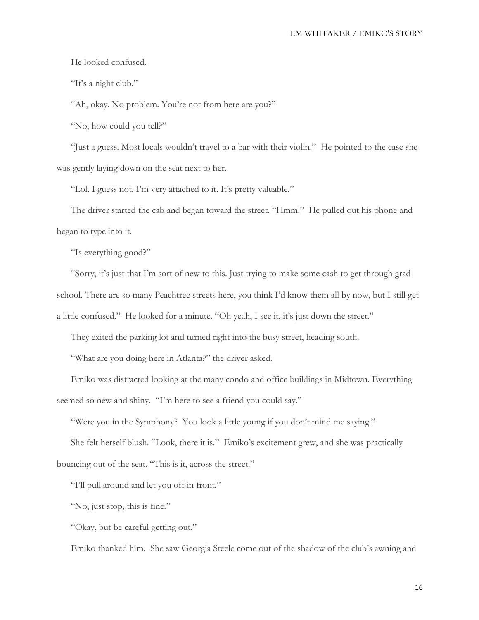## LM WHITAKER / EMIKO'S STORY

He looked confused.

"It's a night club."

"Ah, okay. No problem. You're not from here are you?"

"No, how could you tell?"

"Just a guess. Most locals wouldn't travel to a bar with their violin." He pointed to the case she was gently laying down on the seat next to her.

"Lol. I guess not. I'm very attached to it. It's pretty valuable."

The driver started the cab and began toward the street. "Hmm." He pulled out his phone and began to type into it.

"Is everything good?"

"Sorry, it's just that I'm sort of new to this. Just trying to make some cash to get through grad school. There are so many Peachtree streets here, you think I'd know them all by now, but I still get a little confused." He looked for a minute. "Oh yeah, I see it, it's just down the street."

They exited the parking lot and turned right into the busy street, heading south.

"What are you doing here in Atlanta?" the driver asked.

Emiko was distracted looking at the many condo and office buildings in Midtown. Everything seemed so new and shiny. "I'm here to see a friend you could say."

"Were you in the Symphony? You look a little young if you don't mind me saying."

She felt herself blush. "Look, there it is." Emiko's excitement grew, and she was practically bouncing out of the seat. "This is it, across the street."

"I'll pull around and let you off in front."

"No, just stop, this is fine."

"Okay, but be careful getting out."

Emiko thanked him. She saw Georgia Steele come out of the shadow of the club's awning and